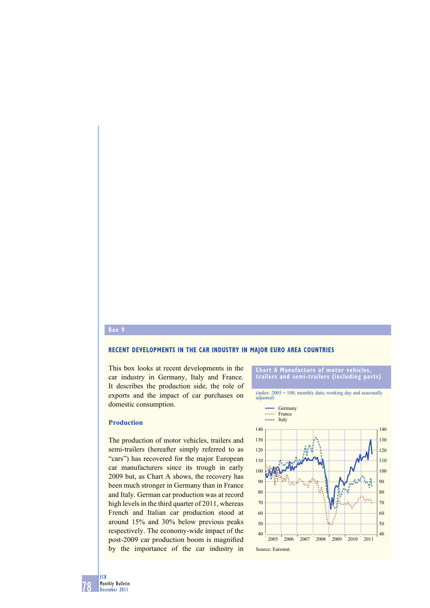## **Box 9**

#### **RECENT DEVELOPMENTS IN THE CAR INDUSTRY IN MAJOR EURO AREA COUNTRIES**

This box looks at recent developments in the car industry in Germany, Italy and France. It describes the production side, the role of exports and the impact of car purchases on domestic consumption.

# **Production**

The production of motor vehicles, trailers and semi-trailers (hereafter simply referred to as "cars") has recovered for the major European car manufacturers since its trough in early 2009 but, as Chart A shows, the recovery has been much stronger in Germany than in France and Italy. German car production was at record high levels in the third quarter of 2011, whereas French and Italian car production stood at around 15% and 30% below previous peaks respectively. The economy-wide impact of the post-2009 car production boom is magnified by the importance of the car industry in



78 ECB Monthly Bulletin December 2011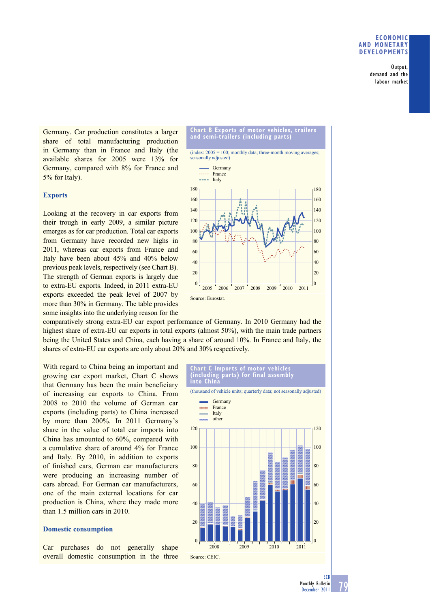### **ECONOMIC AND MONETARY DEVELOPMENTS**

Output, demand and the labour market

Germany. Car production constitutes a larger share of total manufacturing production in Germany than in France and Italy (the available shares for 2005 were 13% for Germany, compared with 8% for France and 5% for Italy).

# **Exports**

Looking at the recovery in car exports from their trough in early 2009, a similar picture emerges as for car production. Total car exports from Germany have recorded new highs in 2011, whereas car exports from France and Italy have been about 45% and 40% below previous peak levels, respectively (see Chart B). The strength of German exports is largely due to extra-EU exports. Indeed, in 2011 extra-EU exports exceeded the peak level of 2007 by more than 30% in Germany. The table provides some insights into the underlying reason for the

**and semi-trailers (including parts)**  $(index: 2005 = 100; monthly data; three-month moving averages;$ easonally adjusted) 180 180 **Germany** \*\*\*\*\* France  $---$  Italy

**Chart B Exports of motor vehicles, trailers** 



comparatively strong extra-EU car export performance of Germany. In 2010 Germany had the highest share of extra-EU car exports in total exports (almost 50%), with the main trade partners being the United States and China, each having a share of around 10%. In France and Italy, the shares of extra-EU car exports are only about 20% and 30% respectively.

With regard to China being an important and growing car export market, Chart C shows that Germany has been the main beneficiary of increasing car exports to China. From 2008 to 2010 the volume of German car exports (including parts) to China increased by more than 200%. In 2011 Germany's share in the value of total car imports into China has amounted to 60%, compared with a cumulative share of around 4% for France and Italy. By 2010, in addition to exports of finished cars, German car manufacturers were producing an increasing number of cars abroad. For German car manufacturers, one of the main external locations for car production is China, where they made more than 1.5 million cars in 2010.

## **Domestic consumption**

Car purchases do not generally shape overall domestic consumption in the three

#### **Chart C Imports of motor vehicles (including parts) for final assembly into China**